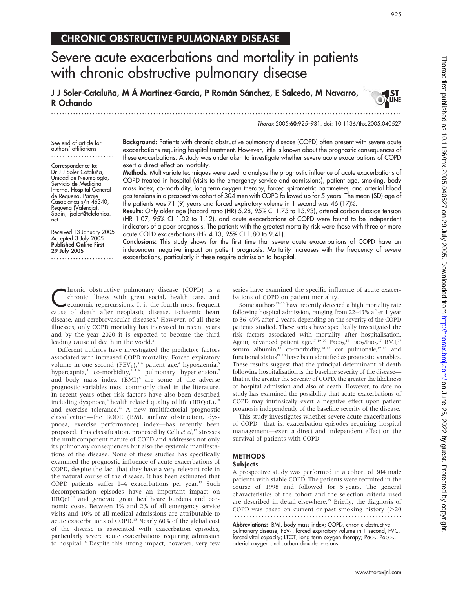# CHRONIC OBSTRUCTIVE PULMONARY DISEASE

# Severe acute exacerbations and mortality in patients with chronic obstructive pulmonary disease

J J Soler-Cataluña, M Á Martínez-García, P Román Sánchez, E Salcedo, M Navarro, R Ochando

...............................................................................................................................

Thorax 2005;60:925–931. doi: 10.1136/thx.2005.040527

See end of article for authors' affiliations .......................

Correspondence to: Dr J J Soler-Cataluña, Unidad de Neumología, Servicio de Medicina Interna, Hospital General de Requena, Paraje Casablanca s/n 46340, Requena (Valencia), Spain; jjsoler@telefonica. net

Received 13 January 2005 Accepted 3 July 2005 Published Online First 29 July 2005

.......................

Background: Patients with chronic obstructive pulmonary disease (COPD) often present with severe acute exacerbations requiring hospital treatment. However, little is known about the prognostic consequences of these exacerbations. A study was undertaken to investigate whether severe acute exacerbations of COPD exert a direct effect on mortality.

Methods: Multivariate techniques were used to analyse the prognostic influence of acute exacerbations of COPD treated in hospital (visits to the emergency service and admissions), patient age, smoking, body mass index, co-morbidity, long term oxygen therapy, forced spirometric parameters, and arterial blood gas tensions in a prospective cohort of 304 men with COPD followed up for 5 years. The mean (SD) age of the patients was 71 (9) years and forced expiratory volume in 1 second was 46 (17)%.

Results: Only older age (hazard ratio (HR) 5.28, 95% CI 1.75 to 15.93), arterial carbon dioxide tension (HR 1.07, 95% CI 1.02 to 1.12), and acute exacerbations of COPD were found to be independent indicators of a poor prognosis. The patients with the greatest mortality risk were those with three or more acute COPD exacerbations (HR 4.13, 95% CI 1.80 to 9.41).

Conclusions: This study shows for the first time that severe acute exacerbations of COPD have an independent negative impact on patient prognosis. Mortality increases with the frequency of severe exacerbations, particularly if these require admission to hospital.

**C**hronic obstructive pulmonary disease (COPD) is a chronic illness with great social, health care, and economic repercussions. It is the fourth most frequent chronic illness with great social, health care, and economic repercussions. It is the fourth most frequent cause of death after neoplastic disease, ischaemic heart disease, and cerebrovascular diseases.<sup>1</sup> However, of all these illnesses, only COPD mortality has increased in recent years and by the year 2020 it is expected to become the third leading cause of death in the world.<sup>2</sup>

Different authors have investigated the predictive factors associated with increased COPD mortality. Forced expiratory volume in one second  $(FEV_1)$ ,<sup>34</sup> patient age,<sup>4</sup> hypoxaemia,<sup>5</sup> hypercapnia,<sup>3</sup> co-morbidity,<sup>346</sup> pulmonary hypertension,<sup>7</sup> and body mass index (BMI)<sup>8</sup> are some of the adverse prognostic variables most commonly cited in the literature. In recent years other risk factors have also been described including dyspnoea, $9$  health related quality of life (HRQoL), $10$ and exercise tolerance.11 A new multifactorial prognostic classification—the BODE (BMI, airflow obstruction, dyspnoea, exercise performance) index—has recently been proposed. This classification, proposed by Celli et al,<sup>12</sup> stresses the multicomponent nature of COPD and addresses not only its pulmonary consequences but also the systemic manifestations of the disease. None of these studies has specifically examined the prognostic influence of acute exacerbations of COPD, despite the fact that they have a very relevant role in the natural course of the disease. It has been estimated that COPD patients suffer  $1-4$  exacerbations per year.<sup>13</sup> Such decompensation episodes have an important impact on HRQoL<sup>14</sup> and generate great healthcare burdens and economic costs. Between 1% and 2% of all emergency service visits and 10% of all medical admissions are attributable to acute exacerbations of COPD.<sup>15</sup> Nearly 60% of the global cost of the disease is associated with exacerbation episodes, particularly severe acute exacerbations requiring admission to hospital.<sup>16</sup> Despite this strong impact, however, very few

series have examined the specific influence of acute exacerbations of COPD on patient mortality.

Some authors  $17-20$  have recently detected a high mortality rate following hospital admission, ranging from 22–43% after 1 year to 36–49% after 2 years, depending on the severity of the COPD patients studied. These series have specifically investigated the risk factors associated with mortality after hospitalisation. Again, advanced patient age,  $17^{19}$  20 Paco<sub>2</sub>,  $19^{19}$  Pao<sub>2</sub>/Fio<sub>2</sub>,  $17^{17}$  BMI,  $17^{17}$ serum albumin,<sup>17</sup> co-morbidity,<sup>18 20</sup> cor pulmonale,<sup>17 20</sup> and functional status<sup>17</sup><sup>18</sup> have been identified as prognostic variables. These results suggest that the principal determinant of death following hospitalisation is the baseline severity of the disease that is, the greater the severity of COPD, the greater the likeliness of hospital admission and also of death. However, to date no study has examined the possibility that acute exacerbations of COPD may intrinsically exert a negative effect upon patient prognosis independently of the baseline severity of the disease.

This study investigates whether severe acute exacerbations of COPD—that is, exacerbation episodes requiring hospital management—exert a direct and independent effect on the survival of patients with COPD.

## METHODS

#### **Subjects**

A prospective study was performed in a cohort of 304 male patients with stable COPD. The patients were recruited in the course of 1998 and followed for 5 years. The general characteristics of the cohort and the selection criteria used are described in detail elsewhere.<sup>15</sup> Briefly, the diagnosis of COPD was based on current or past smoking history  $(>=20$ 

Abbreviations: BMI, body mass index; COPD, chronic obstructive pulmonary disease; FEV<sub>1</sub>, forced expiratory volume in 1 second; FVC, forced vital capacity; LTOT, long term oxygen therapy;  $PaO<sub>2</sub>$ ,  $PaCO<sub>2</sub>$ , arterial oxygen and carbon dioxide tensions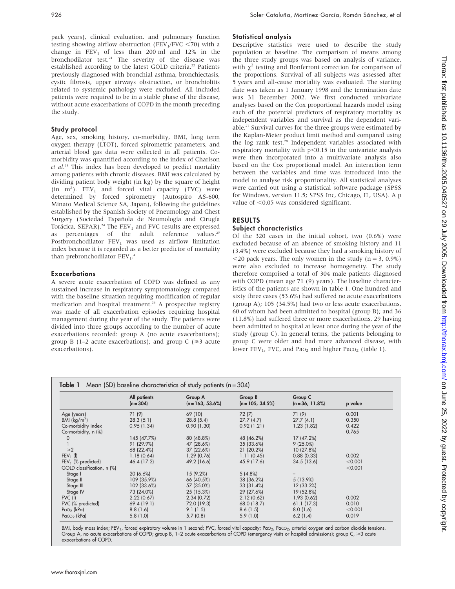pack years), clinical evaluation, and pulmonary function testing showing airflow obstruction (FEV<sub>1</sub>/FVC <70) with a change in  $FEV_1$  of less than 200 ml and 12% in the bronchodilator test.<sup>21</sup> The severity of the disease was established according to the latest GOLD criteria.<sup>22</sup> Patients previously diagnosed with bronchial asthma, bronchiectasis, cystic fibrosis, upper airways obstruction, or bronchiolitis related to systemic pathology were excluded. All included patients were required to be in a stable phase of the disease, without acute exacerbations of COPD in the month preceding the study.

## Study protocol

Age, sex, smoking history, co-morbidity, BMI, long term oxygen therapy (LTOT), forced spirometric parameters, and arterial blood gas data were collected in all patients. Comorbidity was quantified according to the index of Charlson et al.<sup>23</sup> This index has been developed to predict mortality among patients with chronic diseases. BMI was calculated by dividing patient body weight (in kg) by the square of height  $(in \ m<sup>2</sup>)$ . FEV<sub>1</sub> and forced vital capacity (FVC) were determined by forced spirometry (Autospiro AS-600, Minato Medical Science SA, Japan), following the guidelines established by the Spanish Society of Pneumology and Chest Surgery (Sociedad Española de Neumología and Cirugía Torácica, SEPAR).<sup>24</sup> The FEV<sub>1</sub> and FVC results are expressed as percentages of the adult reference values.<sup>25</sup> Postbronchodilator  $FEV<sub>1</sub>$  was used as airflow limitation index because it is regarded as a better predictor of mortality than prebronchodilator  $FEV<sub>1</sub>$ .<sup>4</sup>

## Exacerbations

A severe acute exacerbation of COPD was defined as any sustained increase in respiratory symptomatology compared with the baseline situation requiring modification of regular medication and hospital treatment.<sup>26</sup> A prospective registry was made of all exacerbation episodes requiring hospital management during the year of the study. The patients were divided into three groups according to the number of acute exacerbations recorded: group A (no acute exacerbations); group B (1–2 acute exacerbations); and group  $C \ge 3$  acute exacerbations).

## Statistical analysis

Descriptive statistics were used to describe the study population at baseline. The comparison of means among the three study groups was based on analysis of variance, with  $\chi^2$  testing and Bonferroni correction for comparison of the proportions. Survival of all subjects was assessed after 5 years and all-cause mortality was evaluated. The starting date was taken as 1 January 1998 and the termination date was 31 December 2002. We first conducted univariate analyses based on the Cox proportional hazards model using each of the potential predictors of respiratory mortality as independent variables and survival as the dependent variable.27 Survival curves for the three groups were estimated by the Kaplan-Meier product limit method and compared using the log rank test.<sup>28</sup> Independent variables associated with respiratory mortality with  $p<0.15$  in the univariate analysis were then incorporated into a multivariate analysis also based on the Cox proportional model. An interaction term between the variables and time was introduced into the model to analyse risk proportionality. All statistical analyses were carried out using a statistical software package (SPSS for Windows, version 11.5; SPSS Inc, Chicago, IL, USA). A p value of  $<$ 0.05 was considered significant.

## RESULTS

## Subject characteristics

Of the 320 cases in the initial cohort, two (0.6%) were excluded because of an absence of smoking history and 11 (3.4%) were excluded because they had a smoking history of  $\leq$ 20 pack years. The only women in the study (n = 3, 0.9%) were also excluded to increase homogeneity. The study therefore comprised a total of 304 male patients diagnosed with COPD (mean age 71 (9) years). The baseline characteristics of the patients are shown in table 1. One hundred and sixty three cases (53.6%) had suffered no acute exacerbations (group A); 105 (34.5%) had two or less acute exacerbations, 60 of whom had been admitted to hospital (group B); and 36 (11.8%) had suffered three or more exacerbations, 29 having been admitted to hospital at least once during the year of the study (group C). In general terms, the patients belonging to group C were older and had more advanced disease, with lower FEV<sub>1</sub>, FVC, and Pa $o_2$  and higher Pac $o_2$  (table 1).

|                            | All patients<br>$(n = 304)$ | Group A<br>$(n = 163, 53.6\%)$ | Group B<br>$(n = 105, 34.5\%)$ | Group C<br>$(n=36, 11.8\%)$ | p value |
|----------------------------|-----------------------------|--------------------------------|--------------------------------|-----------------------------|---------|
| Age (years)                | 71 (9)                      | 69 (10)                        | 72(7)                          | 71(9)                       | 0.001   |
| BMI $(kq/m^2)$             | 28.3(5.1)                   | 28.8(5.4)                      | 27.7(4.7)                      | 27.7(4.1)                   | 0.350   |
| Co-morbidity index         | 0.95(1.34)                  | 0.90(1.30)                     | 0.92(1.21)                     | 1.23(1.82)                  | 0.422   |
| Co-morbidity, n (%)        |                             |                                |                                |                             | 0.765   |
| $\circ$                    | 145 (47.7%)                 | 80 (48.8%)                     | 48 (46.2%)                     | 17 (47.2%)                  |         |
|                            | 91 (29.9%)                  | 47 (28.6%)                     | 35 (33.6%)                     | $9(25.0\%)$                 |         |
| $\geq 2$                   | 68 (22.4%)                  | 37 (22.6%)                     | 21 (20.2%)                     | 10 (27.8%)                  |         |
| $FEV_1$ (l)                | 1.18(0.64)                  | 1.29(0.76)                     | 1.11(0.45)                     | 0.88(0.33)                  | 0.002   |
| $FEV1$ (% predicted)       | 46.4 (17.2)                 | 49.2 (16.6)                    | 45.9 (17.6)                    | 34.5(13.6)                  | < 0.001 |
| GOLD classification, n (%) |                             |                                |                                |                             | < 0.001 |
| Stage I                    | $20(6.6\%)$                 | 15(9.2%)                       | $5(4.8\%)$                     |                             |         |
| Stage II                   | 109 (35.9%)                 | 66 (40.5%)                     | 38 (36.2%)                     | $5(13.9\%)$                 |         |
| Stage III                  | 102 (33.6%)                 | 57 (35.0%)                     | 33 (31.4%)                     | 12 (33.3%)                  |         |
| Stage IV                   | 73 (24.0%)                  | 25 (15.3%)                     | 29 (27.6%)                     | 19 (52.8%)                  |         |
| $FVC$ ( $I$ )              | 2.22(0.67)                  | 2.34(0.72)                     | 2.12(0.62)                     | 1.93(0.62)                  | 0.002   |
| FVC (% predicted)          | 69.4 (19.1)                 | 72.0 (19.3)                    | 68.0 (18.7)                    | 61.1(17.3)                  | 0.010   |
| Pao <sub>2</sub> (kPa)     | 8.8(1.6)                    | 9.1(1.5)                       | 8.6(1.5)                       | 8.0(1.6)                    | < 0.001 |
| Paco <sub>2</sub> (kPa)    | 5.8(1.0)                    | 5.7(0.8)                       | 5.9(1.0)                       | 6.2(1.4)                    | 0.019   |

Group A, no acute exacerbations of COPD; group B, 1–2 acute exacerbations of COPD (emergency visits or hospital admissions); group C, >3 acute exacerbations of COPD.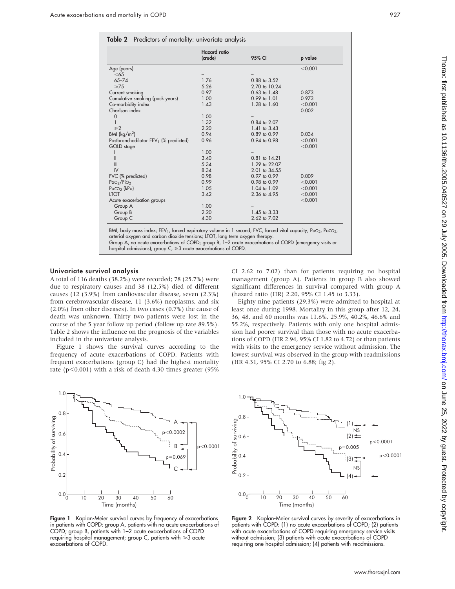|                                                   | <b>Hazard</b> ratio |                   |         |
|---------------------------------------------------|---------------------|-------------------|---------|
|                                                   | (crude)             | 95% CI            | p value |
| Age (years)                                       |                     |                   | < 0.001 |
| $<$ 65                                            |                     |                   |         |
| $65 - 74$                                         | 1.76                | 0.88 to 3.52      |         |
| $\geq 75$                                         | 5.26                | 2.70 to 10.24     |         |
| Current smoking                                   | 0.97                | $0.63$ to $1.48$  | 0.873   |
| Cumulative smoking (pack years)                   | 1.00                | $0.99$ to $1.01$  | 0.973   |
| Co-morbidity index                                | 1.43                | 1.28 to 1.60      | < 0.001 |
| Charlson index                                    |                     |                   | 0.002   |
| $\mathbf 0$                                       | 1.00                |                   |         |
|                                                   | 1.32                | 0.84 to 2.07      |         |
| $\geq 2$                                          | 2.20                | $1.41$ to $3.43$  |         |
| BMI ( $\text{kg/m}^2$ )                           | 0.94                | 0.89 to 0.99      | 0.034   |
| Postbronchodilator FEV <sub>1</sub> (% predicted) | 0.96                | 0.94 to 0.98      | < 0.001 |
| GOLD stage                                        |                     |                   | < 0.001 |
|                                                   | 1.00                |                   |         |
| Ш                                                 | 3.40                | $0.81$ to $14.21$ |         |
| III                                               | 5.34                | 1.29 to 22.07     |         |
| IV                                                | 8.34                | 2.01 to 34.55     |         |
| FVC (% predicted)                                 | 0.98                | 0.97 to 0.99      | 0.009   |
| Pao <sub>2</sub> /FiO <sub>2</sub>                | 0.99                | 0.98 to 0.99      | < 0.001 |
| Paco <sub>2</sub> (kPa)                           | 1.05                | 1.04 to 1.09      | < 0.001 |
| <b>LTOT</b>                                       | 3.42                | 2.36 to 4.95      | < 0.001 |
| Acute exacerbation groups                         |                     |                   | < 0.001 |
| Group A                                           | 1.00                |                   |         |
| Group B                                           | 2.20                | 1.45 to 3.33      |         |
| Group C                                           | 4.30                | 2.62 to 7.02      |         |

BMI, body mass index; FEV<sub>1</sub>, forced expiratory volume in 1 second; FVC, forced vital capacity; PaO<sub>2</sub>, PaCO<sub>2</sub>,<br>arterial oxygen and carbon dioxide tensions; LTOT, long term oxygen therapy. Group A, no acute exacerbations of COPD; group B, 1–2 acute exacerbations of COPD (emergency visits or

hospital admissions); group  $C_r \geq 3$  acute exacerbations of COPD.

#### Univariate survival analysis

A total of 116 deaths (38.2%) were recorded; 78 (25.7%) were due to respiratory causes and 38 (12.5%) died of different causes (12 (3.9%) from cardiovascular disease, seven (2.3%) from cerebrovascular disease, 11 (3.6%) neoplasms, and six (2.0%) from other diseases). In two cases (0.7%) the cause of death was unknown. Thirty two patients were lost in the course of the 5 year follow up period (follow up rate 89.5%). Table 2 shows the influence on the prognosis of the variables included in the univariate analysis.

Figure 1 shows the survival curves according to the frequency of acute exacerbations of COPD. Patients with frequent exacerbations (group C) had the highest mortality rate ( $p<0.001$ ) with a risk of death 4.30 times greater (95%)



Figure 1 Kaplan-Meier survival curves by frequency of exacerbations in patients with COPD: group A, patients with no acute exacerbations of COPD; group B, patients with 1–2 acute exacerbations of COPD requiring hospital management; group C, patients with  $\geq 3$  acute exacerbations of COPD.



Figure 2 Kaplan-Meier survival curves by severity of exacerbations in patients with COPD: (1) no acute exacerbations of COPD; (2) patients with acute exacerbations of COPD requiring emergency service visits without admission; (3) patients with acute exacerbations of COPD requiring one hospital admission; (4) patients with readmissions.

CI 2.62 to 7.02) than for patients requiring no hospital management (group A). Patients in group B also showed significant differences in survival compared with group A (hazard ratio (HR) 2.20, 95% CI 1.45 to 3.33).

Eighty nine patients (29.3%) were admitted to hospital at least once during 1998. Mortality in this group after 12, 24, 36, 48, and 60 months was 11.6%, 25.9%, 40.2%, 46.6% and 55.2%, respectively. Patients with only one hospital admission had poorer survival than those with no acute exacerbations of COPD (HR 2.94, 95% CI 1.82 to 4.72) or than patients with visits to the emergency service without admission. The lowest survival was observed in the group with readmissions (HR 4.31, 95% CI 2.70 to 6.88; fig 2).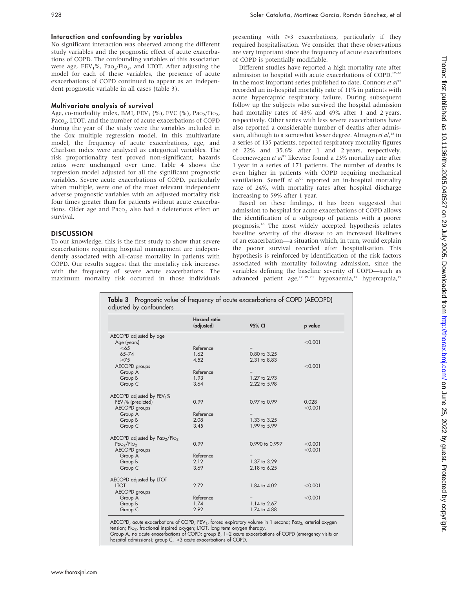## Interaction and confounding by variables

No significant interaction was observed among the different study variables and the prognostic effect of acute exacerbations of COPD. The confounding variables of this association were age,  $FEV<sub>1</sub>%$ ,  $PaO<sub>2</sub>/FiO<sub>2</sub>$ , and LTOT. After adjusting the model for each of these variables, the presence of acute exacerbations of COPD continued to appear as an independent prognostic variable in all cases (table 3).

## Multivariate analysis of survival

Age, co-morbidity index, BMI, FEV<sub>1</sub> (%), FVC (%), Pa $o_2$ /Fi $o_2$ , Paco<sub>2</sub>, LTOT, and the number of acute exacerbations of COPD during the year of the study were the variables included in the Cox multiple regression model. In this multivariate model, the frequency of acute exacerbations, age, and Charlson index were analysed as categorical variables. The risk proportionality test proved non-significant; hazards ratios were unchanged over time. Table 4 shows the regression model adjusted for all the significant prognostic variables. Severe acute exacerbations of COPD, particularly when multiple, were one of the most relevant independent adverse prognostic variables with an adjusted mortality risk four times greater than for patients without acute exacerbations. Older age and Paco<sub>2</sub> also had a deleterious effect on survival.

## **DISCUSSION**

To our knowledge, this is the first study to show that severe exacerbations requiring hospital management are independently associated with all-cause mortality in patients with COPD. Our results suggest that the mortality risk increases with the frequency of severe acute exacerbations. The maximum mortality risk occurred in those individuals

presenting with  $\geq 3$  exacerbations, particularly if they required hospitalisation. We consider that these observations are very important since the frequency of acute exacerbations of COPD is potentially modifiable.

Different studies have reported a high mortality rate after admission to hospital with acute exacerbations of COPD.<sup>17-20</sup> In the most important series published to date, Connors et  $al^{17}$ recorded an in-hospital mortality rate of 11% in patients with acute hypercapnic respiratory failure. During subsequent follow up the subjects who survived the hospital admission had mortality rates of 43% and 49% after 1 and 2 years, respectively. Other series with less severe exacerbations have also reported a considerable number of deaths after admission, although to a somewhat lesser degree. Almagro et al,<sup>18</sup> in a series of 135 patients, reported respiratory mortality figures of 22% and 35.6% after 1 and 2 years, respectively. Groenewegen et al<sup>19</sup> likewise found a 23% mortality rate after 1 year in a series of 171 patients. The number of deaths is even higher in patients with COPD requiring mechanical ventilation. Seneff et  $al^{29}$  reported an in-hospital mortality rate of 24%, with mortality rates after hospital discharge increasing to 59% after 1 year.

Based on these findings, it has been suggested that admission to hospital for acute exacerbations of COPD allows the identification of a subgroup of patients with a poorer prognosis.18 The most widely accepted hypothesis relates baseline severity of the disease to an increased likeliness of an exacerbation—a situation which, in turn, would explain the poorer survival recorded after hospitalisation. This hypothesis is reinforced by identification of the risk factors associated with mortality following admission, since the variables defining the baseline severity of COPD—such as advanced patient age,<sup>17 19 20</sup> hypoxaemia,<sup>17</sup> hypercapnia,<sup>19</sup>

|                                    | <b>Hazard</b> ratio<br>(adjusted) | 95% CI                  | p value |
|------------------------------------|-----------------------------------|-------------------------|---------|
| AECOPD adjusted by age             |                                   |                         |         |
| Age (years)                        |                                   |                         | < 0.001 |
| <65                                | Reference                         |                         |         |
| $65 - 74$                          | 1.62                              | $0.80 \text{ to } 3.25$ |         |
| $\geq 75$                          | 4.52                              | 2.31 to 8.83            |         |
| AECOPD groups                      |                                   |                         | < 0.001 |
| Group A                            | Reference                         |                         |         |
| Group B                            | 1.93                              | 1.27 to 2.93            |         |
| Group C                            | 3.64                              | 2.22 to 5.98            |         |
|                                    |                                   |                         |         |
| AECOPD adjusted by $FEV1%$         |                                   |                         |         |
| $FEV1%$ (predicted)                | 0.99                              | 0.97 to 0.99            | 0.028   |
| AECOPD groups                      |                                   |                         | < 0.001 |
| Group A                            | Reference                         |                         |         |
| Group B                            | 2.08                              | 1.33 to 3.25            |         |
| Group C                            | 3.45                              | 1.99 to 5.99            |         |
| AECOPD adjusted by PaO2/FiO2       |                                   |                         |         |
| PaO <sub>2</sub> /FiO <sub>2</sub> | 0.99                              | 0.990 to 0.997          | < 0.001 |
| AECOPD groups                      |                                   |                         | < 0.001 |
| Group A                            | Reference                         |                         |         |
| Group B                            | 2.12                              | 1.37 to 3.29            |         |
| Group C                            | 3.69                              | 2.18 to 6.25            |         |
| AECOPD adjusted by LTOT            |                                   |                         |         |
| <b>LTOT</b>                        | 2.72                              | 1.84 to 4.02            | < 0.001 |
| AECOPD groups                      |                                   |                         |         |
| Group A                            | Reference                         |                         | < 0.001 |
| Group B                            | 1.74                              | 1.14 to 2.67            |         |
| Group C                            | 2.92                              | 1.74 to 4.88            |         |

tension; Fi $\circ_2$ , fractional inspired oxygen; LTOT, long term oxygen therapy. Group A, no acute exacerbations of COPD; group B, 1–2 acute exacerbations of COPD (emergency visits or

hospital admissions); group  $C_r \geq 3$  acute exacerbations of COPD.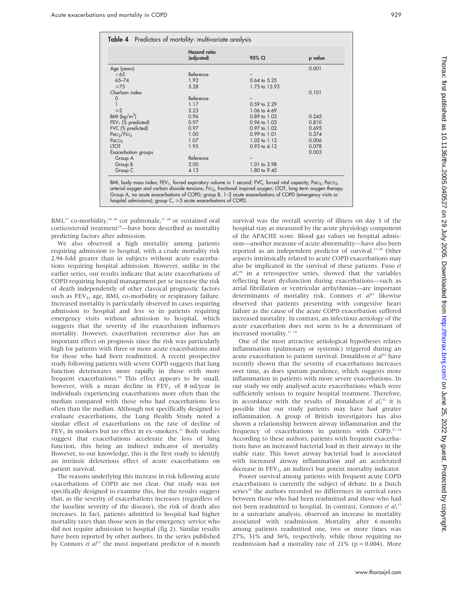|                                             | Hazard ratio<br>(adjusted) | 95% CI                  | p value |
|---------------------------------------------|----------------------------|-------------------------|---------|
|                                             |                            |                         |         |
| Age (years)                                 |                            |                         | 0.001   |
| $<$ 65                                      | Reference                  |                         |         |
| $65 - 74$                                   | 1.92                       | $0.64$ to $5.25$        |         |
| $\geq 75$                                   | 5.28                       | 1.75 to 15.93           |         |
| Charlson index                              |                            |                         | 0.101   |
| $\mathbf 0$                                 | Reference                  |                         |         |
|                                             | 1.17                       | 0.59 to 2.29            |         |
| $\geq 2$                                    | 2.23                       | 1.06 to 4.69            |         |
| BMI $(kq/m^2)$                              | 0.96                       | $0.89$ to $1.03$        | 0.245   |
| $FEV1$ (% predicted)                        | 0.97                       | 0.96 to 1.03            | 0.810   |
| FVC (% predicted)                           | 0.97                       | 0.97 to 1.02            | 0.695   |
| P <sub>aO<sub>2</sub>/FiO<sub>2</sub></sub> | 1.00                       | $0.99$ to $1.01$        | 0.374   |
| PaccO <sub>2</sub>                          | 1.07                       | $1.02 \text{ to } 1.12$ | 0.006   |
| <b>LTOT</b>                                 | 1.95                       | $0.93$ to $4.12$        | 0.078   |
| Exacerbation groups                         |                            |                         | 0.003   |
| Group A                                     | Reference                  |                         |         |
| Group B                                     | 2.00                       | 1.01 to 3.98            |         |
| Group C                                     | 4.13                       | 1.80 to 9.45            |         |

BMI, body mass index; FEV<sub>1</sub>, forced expiratory volume in 1 second; FVC, forced vital capacity; PaO<sub>2</sub>, PaCO<sub>2</sub>, arterial oxygen and carbon dioxide tensions; FiO2, fractional inspired oxygen; LTOT, long term oxygen therapy. Group A, no acute exacerbations of COPD; group B, 1–2 acute exacerbations of COPD (emergency visits or hospital admissions); group  $C \geqslant 3$  acute exacerbations of COPD.

BMI,<sup>17</sup> co-morbidity,<sup>18 20</sup> cor pulmonale,<sup>17 20</sup> or sustained oral corticosteroid treatment<sup>19</sup>-have been described as mortality predicting factors after admission.

We also observed a high mortality among patients requiring admission to hospital, with a crude mortality risk 2.94-fold greater than in subjects without acute exacerbations requiring hospital admission. However, unlike in the earlier series, our results indicate that acute exacerbations of COPD requiring hospital management per se increase the risk of death independently of other classical prognostic factors such as  $FEV<sub>1</sub>$ , age, BMI, co-morbidity or respiratory failure. Increased mortality is particularly observed in cases requiring admission to hospital and less so in patients requiring emergency visits without admission to hospital, which suggests that the severity of the exacerbation influences mortality. However, exacerbation recurrence also has an important effect on prognosis since the risk was particularly high for patients with three or more acute exacerbations and for those who had been readmitted. A recent prospective study following patients with severe COPD suggests that lung function deteriorates more rapidly in those with more frequent exacerbations.<sup>30</sup> This effect appears to be small, however, with a mean decline in  $FEV<sub>1</sub>$  of 8 ml/year in individuals experiencing exacerbations more often than the median compared with those who had exacerbations less often than the median. Although not specifically designed to evaluate exacerbations, the Lung Health Study noted a similar effect of exacerbations on the rate of decline of  $FEV<sub>1</sub>$  in smokers but no effect in ex-smokers.<sup>31</sup> Both studies suggest that exacerbations accelerate the loss of lung function, this being an indirect indicator of mortality. However, to our knowledge, this is the first study to identify an intrinsic deleterious effect of acute exacerbations on patient survival.

The reasons underlying this increase in risk following acute exacerbations of COPD are not clear. Our study was not specifically designed to examine this, but the results suggest that, as the severity of exacerbations increases (regardless of the baseline severity of the disease), the risk of death also increases. In fact, patients admitted to hospital had higher mortality rates than those seen in the emergency service who did not require admission to hospital (fig 2). Similar results have been reported by other authors. In the series published by Connors et  $al^{17}$  the most important predictor of 6 month survival was the overall severity of illness on day 3 of the hospital stay as measured by the acute physiology component of the APACHE score. Blood gas values on hospital admission—another measure of acute abnormality—have also been reported as an independent predictor of survival.<sup>17-20</sup> Other aspects intrinsically related to acute COPD exacerbations may also be implicated in the survival of these patients. Fuso et al,<sup>20</sup> in a retrospective series, showed that the variables reflecting heart dysfunction during exacerbations—such as atrial fibrillation or ventricular arrhythmias—are important determinants of mortality risk. Connors et  $al^{17}$  likewise observed that patients presenting with congestive heart failure as the cause of the acute COPD exacerbation suffered increased mortality. In contrast, an infectious aetiology of the acute exacerbation does not seem to be a determinant of increased mortality.<sup>17 18</sup>

One of the most attractive aetiological hypotheses relates inflammation (pulmonary or systemic) triggered during an acute exacerbation to patient survival. Donaldson et  $a^{32}$  have recently shown that the severity of exacerbations increases over time, as does sputum purulence, which suggests more inflammation in patients with more severe exacerbations. In our study we only analysed acute exacerbations which were sufficiently serious to require hospital treatment. Therefore, in accordance with the results of Donaldson el al,<sup>32</sup> it is possible that our study patients may have had greater inflammation. A group of British investigators has also shown a relationship between airway inflammation and the frequency of exacerbations in patients with COPD.<sup>33 34</sup> According to these authors, patients with frequent exacerbations have an increased bacterial load in their airways in the stable state. This lower airway bacterial load is associated with increased airway inflammation and an accelerated decrease in  $FEV<sub>1</sub>$ , an indirect but potent mortality indicator.

Poorer survival among patients with frequent acute COPD exacerbations is currently the subject of debate. In a Dutch series<sup>19</sup> the authors recorded no differences in survival rates between those who had been readmitted and those who had not been readmitted to hospital. In contrast, Connors et al,<sup>17</sup> in a univariate analysis, observed an increase in mortality associated with readmission. Mortality after 6 months among patients readmitted one, two or more times was 27%, 31% and 36%, respectively, while those requiring no readmission had a mortality rate of  $21\%$  (p = 0.004). More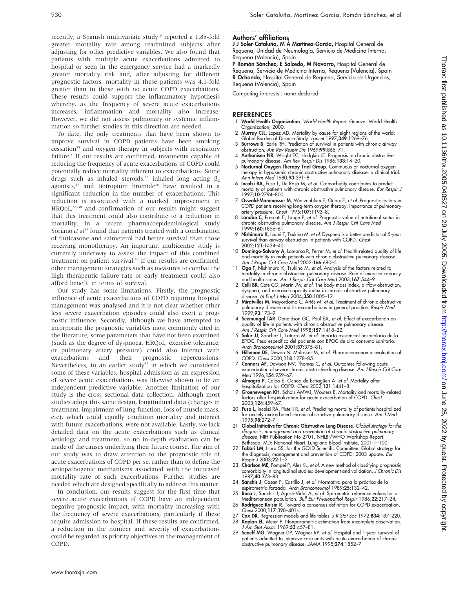recently, a Spanish multivariate study<sup>18</sup> reported a 1.85-fold greater mortality rate among readmitted subjects after adjusting for other predictive variables. We also found that patients with multiple acute exacerbations admitted to hospital or seen in the emergency service had a markedly greater mortality risk and, after adjusting for different prognostic factors, mortality in these patients was 4.1-fold greater than in those with no acute COPD exacerbations. These results could support the inflammatory hypothesis whereby, as the frequency of severe acute exacerbations increases, inflammation and mortality also increase. However, we did not assess pulmonary or systemic inflammation so further studies in this direction are needed.

To date, the only treatments that have been shown to improve survival in COPD patients have been smoking cessation<sup>35</sup> and oxygen therapy in subjects with respiratory failure.<sup>5</sup> If our results are confirmed, treatments capable of reducing the frequency of acute exacerbations of COPD could potentially reduce mortality inherent to exacerbations. Some drugs such as inhaled steroids,<sup>36</sup> inhaled long acting  $\beta_2$ agonists,<sup>37</sup> and tiotropium bromide<sup>38</sup> have resulted in a significant reduction in the number of exacerbations. This reduction is associated with a marked improvement in HRQoL,<sup>36-38</sup> and confirmation of our results might suggest that this treatment could also contribute to a reduction in mortality. In a recent pharmacoepidemiological study Soriano et al<sup>39</sup> found that patients treated with a combination of fluticasone and salmeterol had better survival than those receiving monotherapy. An important multicentre study is currently underway to assess the impact of this combined treatment on patient survival.<sup>40</sup> If our results are confirmed, other management strategies such as measures to combat the high therapeutic failure rate or early treatment could also afford benefit in terms of survival.

Our study has some limitations. Firstly, the prognostic influence of acute exacerbations of COPD requiring hospital management was analysed and it is not clear whether other less severe exacerbation episodes could also exert a prognostic influence. Secondly, although we have attempted to incorporate the prognostic variables most commonly cited in the literature, some parameters that have not been examined (such as the degree of dyspnoea, HRQoL, exercise tolerance, or pulmonary artery pressure) could also interact with exacerbations and their prognostic repercussions. Nevertheless, in an earlier study $41$  in which we considered some of these variables, hospital admission as an expression of severe acute exacerbations was likewise shown to be an independent predictive variable. Another limitation of our study is the cross sectional data collection. Although most studies adopt this same design, longitudinal data (changes in treatment, impairment of lung function, loss of muscle mass, etc), which could equally condition mortality and interact with future exacerbations, were not available. Lastly, we lack detailed data on the acute exacerbations such as clinical aetiology and treatment, so no in-depth evaluation can be made of the causes underlying their future course. The aim of our study was to draw attention to the prognostic role of acute exacerbations of COPD per se, rather than to define the aetiopathogenic mechanisms associated with the increased mortality rate of such exacerbations. Further studies are needed which are designed specifically to address this matter.

In conclusion, our results suggest for the first time that severe acute exacerbations of COPD have an independent negative prognostic impact, with mortality increasing with the frequency of severe exacerbations, particularly if these require admission to hospital. If these results are confirmed, a reduction in the number and severity of exacerbations could be regarded as priority objectives in the management of COPD.

#### Authors' affiliations .....................

J J Soler-Cataluña, M Á Martínez-García, Hospital General de Requena, Unidad de Neumología, Servicio de Medicina Interna, Requena (Valencia), Spain

P Román Sánchez, E Salcedo, M Navarro, Hospital General de Requena, Servicio de Medicina Interna, Requena (Valencia), Spain R Ochando, Hospital General de Requena, Servicio de Urgencias, Requena (Valencia), Spain

Competing interests : none declared

#### **REFERENCES**

- 1 World Health Organization. World Health Report. Geneva: World Health Organization, 2000.
- 2 Murray CJL, Lopez AD. Mortality by cause for eight regions of the world: Global Burden of Disease Study. Lancet 1997;349:1269–76.
- 3 Burrows B, Earle RH. Prediction of survival in patients with chronic airway
- obstruction. Am Rev Respir Dis 1969;99:865–71. 4 Anthonisen NR, Wright EC, Hodgkin JE. Prognosis in chronic obstructive pulmonary disease. Am Rev Respir Dis 1986;133:14–20.
- 5 Nocturnal Oxygen Therapy Trial Group. Continuous or nocturnal oxygen therapy in hypoxemic chronic obstructive pulmonary disease: a clinical trial. Ann Intern Med 1980;93:391–8.
- 6 Incalzi RA, Fuso L, De Rosa M, et al. Co-morbidity contributes to predict mortality of patients with chronic obstructive pulmonary disease. *Eur Respir J*<br>1997;**10**:2794–800.
- 7 Oswald-Mammosser M, Weitzenblum E, Quoix E, et al. Prognostic factors in COPD patients receiving long-term oxygen therapy. Importance of pulmonary<br>artery pressure. *Chest* 1995;**107**:1193–8.
- 8 Landbo C, Prescott E, Lange P, et al. Prognostic value of nutritional sattus in chronic obstructive pulmonary disease. Am J Respir Crit Care Med 1999;160:1856–61.
- 9 Nishimura K, Izumi T, Tsukino M, et al. Dyspnea is a better predictor of 5-year survival than airway obstruction in patients with COPD. Chest 2002;121:1434–40.
- 10 Domingo-Salvany A, Lamarca R, Ferrer M, et al. Health-related quality of life and mortality in male patients with chronic obstructive pulmonary disease. Am J Respir Crit Care Med 2002;166:680–5.
- 11 Oga T, Nishimura K, Tsukino M, et al. Analysis of the factors related to mortality in chronic obstructive pulmonary disease. Role of exercise capacity and health status. Am J Respir Crit Care Med 2003;167:544–9.
- 12 Celli BR, Cote CG, Marín JM, et al. The body-mass index, airflow obstruction, dyspnea, and exercise capacity index in chronic obstructive pulmonary disease. N Engl J Med 2004;350:1005–12.
- 13 Miratvilles M, Mayordomo C, Artés M, et al. Treatment of chronic obstructive pulmonary disease and its exacerbations in general practice. *Respir Med*<br>1999;**93**:173–9.
- 14 Seemungal TAR, Donaldson GC, Paul EA, et al. Effect of exacerbation on quality of life in patients with chronic obstructive pulmonary disease. Am J Respir Crit Care Med 1998;157:1418–22.
- Soler JJ, Sánchez L, Latorre M, et al. Impacto asistencial hospitalario de la EPOC. Peso específico del paciente con EPOC de alto consumo sanitario. Arch Bronconeumol 2001;37:375–81.
- 16 Hilleman DE, Dewan N, Malesker M, et al. Pharmacoeconomic evaluation of COPD. Chest 2000;118:1278–85.
- Connors AF, Dawson NV, Thomas C, et al. Outcomes following acute exacerbation of severe chronic obstructive lung disease. Am J Respir Crit Care Med 1996;154:959-67.
- 18 Almagro P, Calbo E, Ochoa de Echagüen A, et al. Mortality after hospitalization for COPD. Chest 2002;121:1441-8.
- 19 Groenewegen KH, Schols AMWJ, Wouters E. Mortality and mortality-related factors after hospitalization for acute exacerbation of COPD. Chest 2003;124:459–67.
- 20 Fuso L, Incalzi RA, Pistelli R, et al. Predicting mortality of patients hospitalized for acutely exacerbated chronic obstructive pulmonary disease. Am J Med 1995;98:272–7.
- 21 Global Initiative for Chronic Obstructive Lung Disease. Global strategy for the diagnosis, management and prevention of chronic obstructive pulmonary disease, NIH Publication No 2701. NHLBI/WHO Workshop Report.
- Bethesda, MD: National Heart, Lung and Blood Institute, 2001:1–100.<br>22 **Fabbri LM**, Hurd SS, for the GOLD Scientific Committee. Global strategy for the diagnosis, management and prevention of COPD: 2003 update. Eur Respir J 2003;22:1–2.
- 23 Charlson ME, Pompei P, Ales KL, et al. A new method of classifying prognostic comorbidity in longitudinal studies: development and validation. J Chronic Dis 1987;40:373–83.
- 24 Sanchis J, Casan P, Castillo J, et al. Normativa para la práctica de la espirometría forzada. *Arch Bronconeumol* 1989;**25**:132–42.<br>25 **Roca J**, Sanchis J, Agustí-Vidal A, *et al.* Spirometric reference values for a
- Mediterranean population. Bull Eur Physiopathol Respir 1986;**22**:217–24.<br>26 **Rodríguez-Roisin R**. Toward a consensus definition for COPD exacerbation.
- Chest 2000;117:398–401s.
- 27 Cox DR. Regression models and life tables. J R Stat Soc 1972;B34:187-220.<br>28 Kaplan EL, Meier P. Nonparametric estimation from incomplete observation. Kaplan EL, Meier P. Nonparametric estimation from incomplete observation.
- J Am Stat Assoc 1969;53:457–81.
- 29 Seneff MG, Wagner DP, Wagner RP, et al. Hospital and 1-year survival of patients admitted to intensive care units with acute exacerbation of chronic obstructive pulmonary disease. JAMA 1995;274:1852–7.